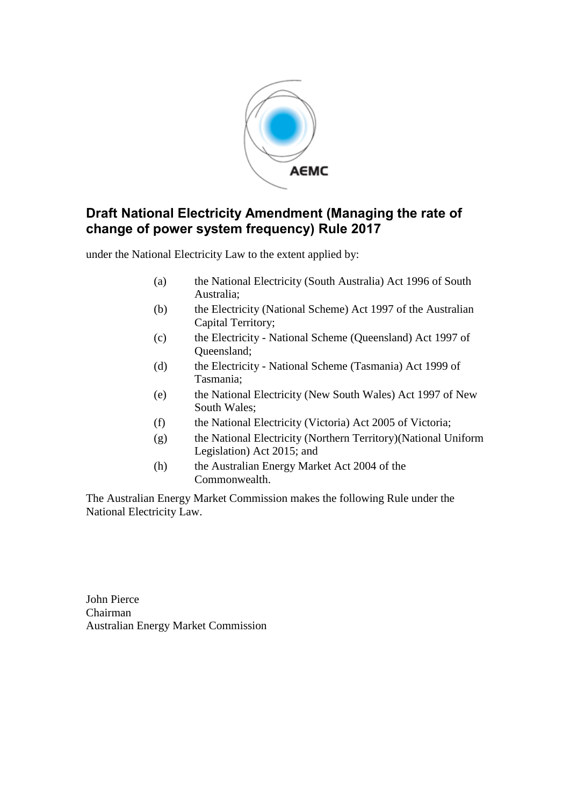

under the National Electricity Law to the extent applied by:

- (a) the National Electricity (South Australia) Act 1996 of South Australia;
- (b) the Electricity (National Scheme) Act 1997 of the Australian Capital Territory;
- (c) the Electricity National Scheme (Queensland) Act 1997 of Queensland;
- (d) the Electricity National Scheme (Tasmania) Act 1999 of Tasmania;
- (e) the National Electricity (New South Wales) Act 1997 of New South Wales;
- (f) the National Electricity (Victoria) Act 2005 of Victoria;
- (g) the National Electricity (Northern Territory)(National Uniform Legislation) Act 2015; and
- (h) the Australian Energy Market Act 2004 of the Commonwealth.

The Australian Energy Market Commission makes the following Rule under the National Electricity Law.

John Pierce Chairman Australian Energy Market Commission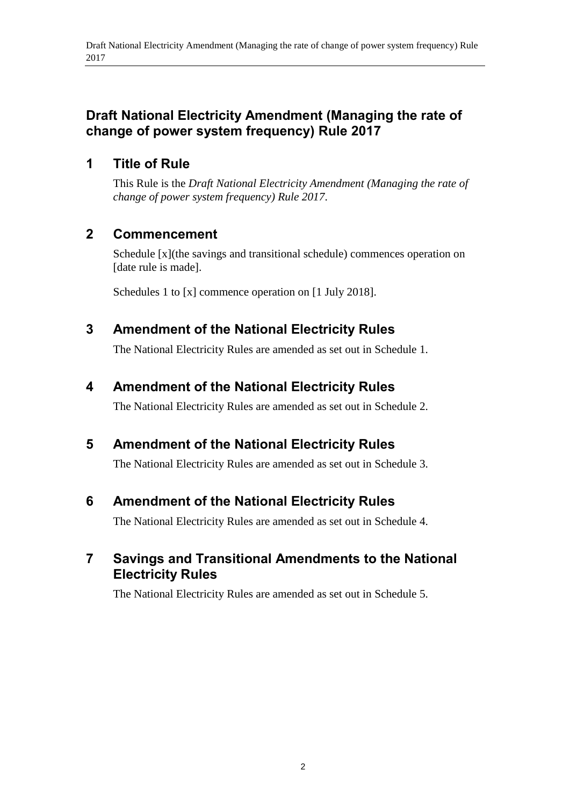## **1 Title of Rule**

This Rule is the *Draft National Electricity Amendment (Managing the rate of change of power system frequency) Rule 2017*.

## **2 Commencement**

Schedule [x](the savings and transitional schedule) commences operation on [date rule is made].

Schedules 1 to [x] commence operation on [1 July 2018].

## <span id="page-1-0"></span>**3 Amendment of the National Electricity Rules**

The National Electricity Rules are amended as set out in [Schedule 1.](#page-2-0)

## <span id="page-1-1"></span>**4 Amendment of the National Electricity Rules**

The National Electricity Rules are amended as set out in [Schedule 2.](#page-3-0)

## <span id="page-1-2"></span>**5 Amendment of the National Electricity Rules**

The National Electricity Rules are amended as set out in [Schedule 3.](#page-7-0)

### <span id="page-1-3"></span>**6 Amendment of the National Electricity Rules**

The National Electricity Rules are amended as set out in [Schedule 4.](#page-22-0)

## **7 Savings and Transitional Amendments to the National Electricity Rules**

The National Electricity Rules are amended as set out in [Schedule 5.](#page-22-0)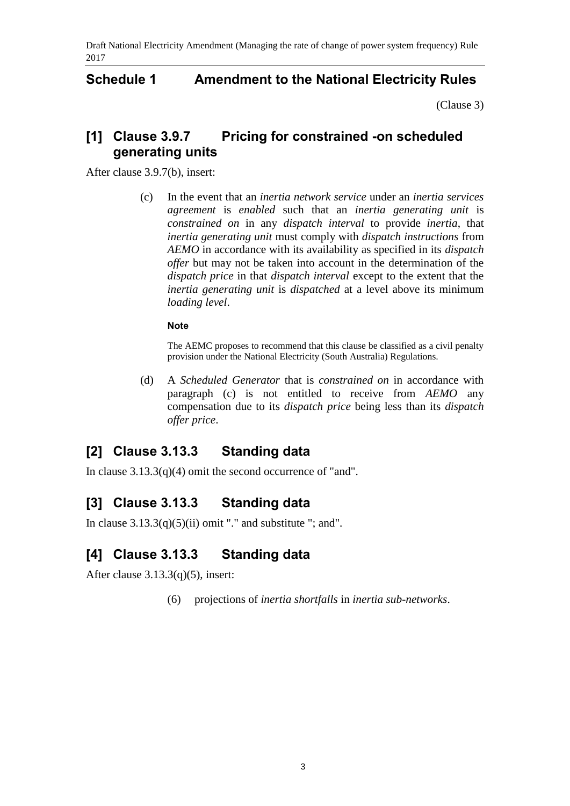### <span id="page-2-0"></span>**Schedule 1 Amendment to the National Electricity Rules**

[\(Clause 3\)](#page-1-0)

## **[1] Clause 3.9.7 Pricing for constrained -on scheduled generating units**

After clause 3.9.7(b), insert:

(c) In the event that an *inertia network service* under an *inertia services agreement* is *enabled* such that an *inertia generating unit* is *constrained on* in any *dispatch interval* to provide *inertia*, that *inertia generating unit* must comply with *dispatch instructions* from *AEMO* in accordance with its availability as specified in its *dispatch offer* but may not be taken into account in the determination of the *dispatch price* in that *dispatch interval* except to the extent that the *inertia generating unit* is *dispatched* at a level above its minimum *loading level*.

### **Note**

The AEMC proposes to recommend that this clause be classified as a civil penalty provision under the National Electricity (South Australia) Regulations.

(d) A *Scheduled Generator* that is *constrained on* in accordance with paragraph (c) is not entitled to receive from *AEMO* any compensation due to its *dispatch price* being less than its *dispatch offer price*.

## **[2] Clause 3.13.3 Standing data**

In clause  $3.13.3(q)(4)$  omit the second occurrence of "and".

## **[3] Clause 3.13.3 Standing data**

In clause  $3.13.3(q)(5)(ii)$  omit "." and substitute "; and".

## **[4] Clause 3.13.3 Standing data**

After clause 3.13.3(q)(5), insert:

(6) projections of *inertia shortfalls* in *inertia sub-networks*.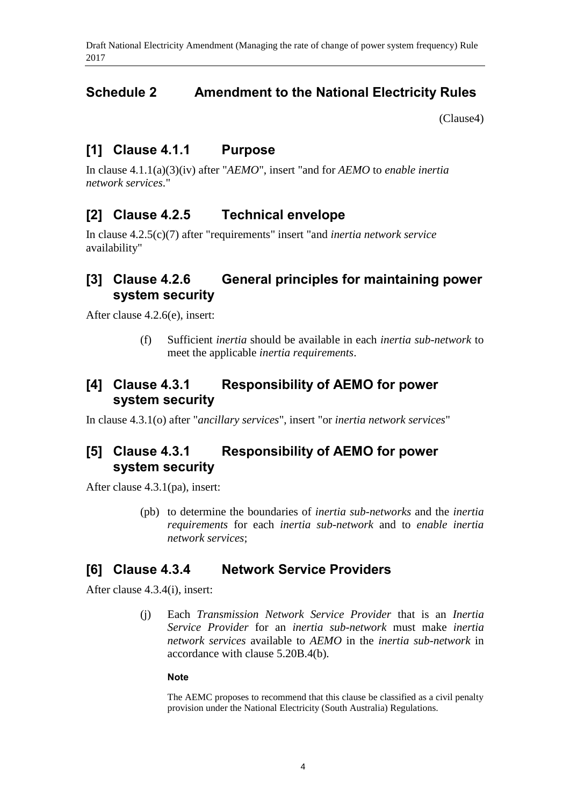## <span id="page-3-0"></span>**Schedule 2 Amendment to the National Electricity Rules**

[\(Clause4\)](#page-1-1)

## **[1] Clause 4.1.1 Purpose**

In clause 4.1.1(a)(3)(iv) after "*AEMO*", insert "and for *AEMO* to *enable inertia network services*."

### **[2] Clause 4.2.5 Technical envelope**

In clause 4.2.5(c)(7) after "requirements" insert "and *inertia network service* availability"

## **[3] Clause 4.2.6 General principles for maintaining power system security**

After clause 4.2.6(e), insert:

(f) Sufficient *inertia* should be available in each *inertia sub-network* to meet the applicable *inertia requirements*.

## **[4] Clause 4.3.1 Responsibility of AEMO for power system security**

In clause 4.3.1(o) after "*ancillary services*", insert "or *inertia network services*"

## **[5] Clause 4.3.1 Responsibility of AEMO for power system security**

After clause 4.3.1(pa), insert:

(pb) to determine the boundaries of *inertia sub-networks* and the *inertia requirements* for each *inertia sub-network* and to *enable inertia network services*;

### **[6] Clause 4.3.4 Network Service Providers**

After clause 4.3.4(i), insert:

(j) Each *Transmission Network Service Provider* that is an *Inertia Service Provider* for an *inertia sub-network* must make *inertia network services* available to *AEMO* in the *inertia sub-network* in accordance with clause 5.20B.4(b).

#### **Note**

The AEMC proposes to recommend that this clause be classified as a civil penalty provision under the National Electricity (South Australia) Regulations.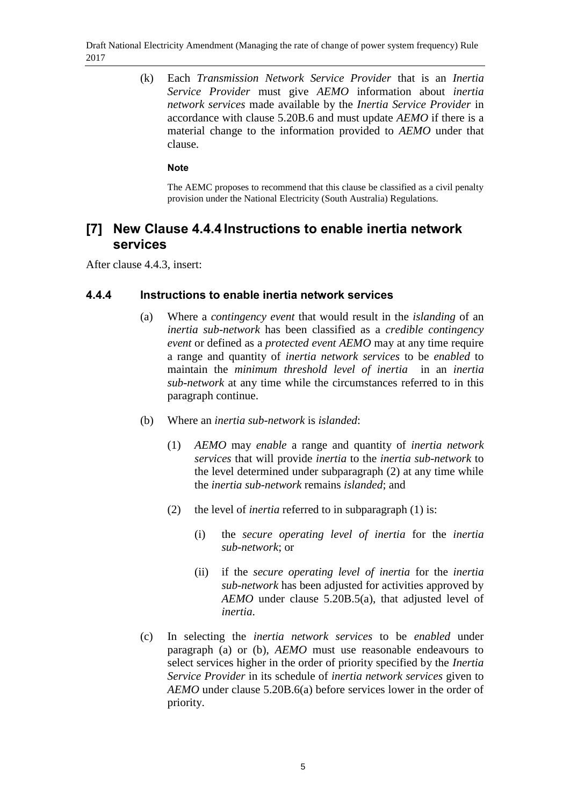(k) Each *Transmission Network Service Provider* that is an *Inertia Service Provider* must give *AEMO* information about *inertia network services* made available by the *Inertia Service Provider* in accordance with clause 5.20B.6 and must update *AEMO* if there is a material change to the information provided to *AEMO* under that clause.

### **Note**

The AEMC proposes to recommend that this clause be classified as a civil penalty provision under the National Electricity (South Australia) Regulations.

### **[7] New Clause 4.4.4 Instructions to enable inertia network services**

After clause 4.4.3, insert:

### **4.4.4 Instructions to enable inertia network services**

- (a) Where a *contingency event* that would result in the *islanding* of an *inertia sub-network* has been classified as a *credible contingency event* or defined as a *protected event AEMO* may at any time require a range and quantity of *inertia network services* to be *enabled* to maintain the *minimum threshold level of inertia* in an *inertia sub-network* at any time while the circumstances referred to in this paragraph continue.
- (b) Where an *inertia sub-network* is *islanded*:
	- (1) *AEMO* may *enable* a range and quantity of *inertia network services* that will provide *inertia* to the *inertia sub-network* to the level determined under subparagraph (2) at any time while the *inertia sub-network* remains *islanded*; and
	- (2) the level of *inertia* referred to in subparagraph (1) is:
		- (i) the *secure operating level of inertia* for the *inertia sub-network*; or
		- (ii) if the *secure operating level of inertia* for the *inertia sub-network* has been adjusted for activities approved by *AEMO* under clause 5.20B.5(a), that adjusted level of *inertia*.
- (c) In selecting the *inertia network services* to be *enabled* under paragraph (a) or (b), *AEMO* must use reasonable endeavours to select services higher in the order of priority specified by the *Inertia Service Provider* in its schedule of *inertia network services* given to *AEMO* under clause 5.20B.6(a) before services lower in the order of priority.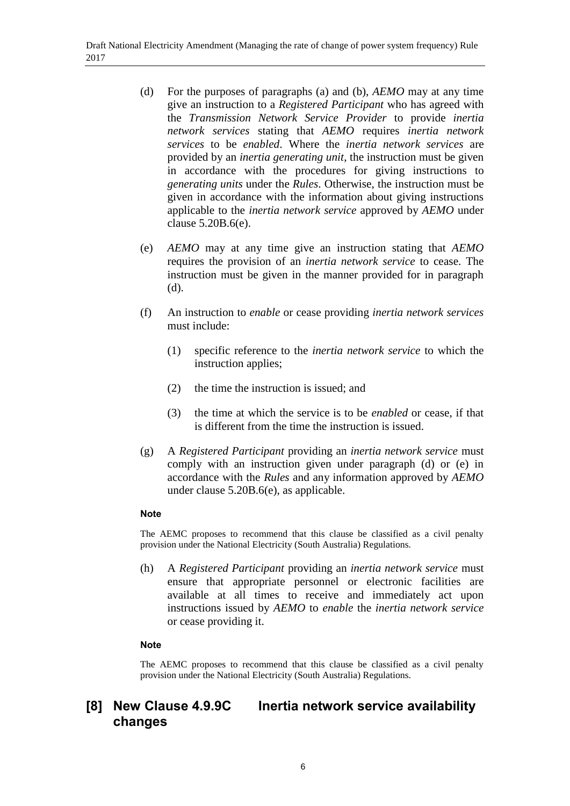- (d) For the purposes of paragraphs (a) and (b), *AEMO* may at any time give an instruction to a *Registered Participant* who has agreed with the *Transmission Network Service Provider* to provide *inertia network services* stating that *AEMO* requires *inertia network services* to be *enabled*. Where the *inertia network services* are provided by an *inertia generating unit*, the instruction must be given in accordance with the procedures for giving instructions to *generating units* under the *Rules*. Otherwise, the instruction must be given in accordance with the information about giving instructions applicable to the *inertia network service* approved by *AEMO* under clause 5.20B.6(e).
- (e) *AEMO* may at any time give an instruction stating that *AEMO* requires the provision of an *inertia network service* to cease. The instruction must be given in the manner provided for in paragraph (d).
- (f) An instruction to *enable* or cease providing *inertia network services* must include:
	- (1) specific reference to the *inertia network service* to which the instruction applies;
	- (2) the time the instruction is issued; and
	- (3) the time at which the service is to be *enabled* or cease, if that is different from the time the instruction is issued.
- (g) A *Registered Participant* providing an *inertia network service* must comply with an instruction given under paragraph (d) or (e) in accordance with the *Rules* and any information approved by *AEMO* under clause 5.20B.6(e), as applicable.

#### **Note**

The AEMC proposes to recommend that this clause be classified as a civil penalty provision under the National Electricity (South Australia) Regulations.

(h) A *Registered Participant* providing an *inertia network service* must ensure that appropriate personnel or electronic facilities are available at all times to receive and immediately act upon instructions issued by *AEMO* to *enable* the *inertia network service* or cease providing it.

#### **Note**

The AEMC proposes to recommend that this clause be classified as a civil penalty provision under the National Electricity (South Australia) Regulations.

## **[8] New Clause 4.9.9C Inertia network service availability changes**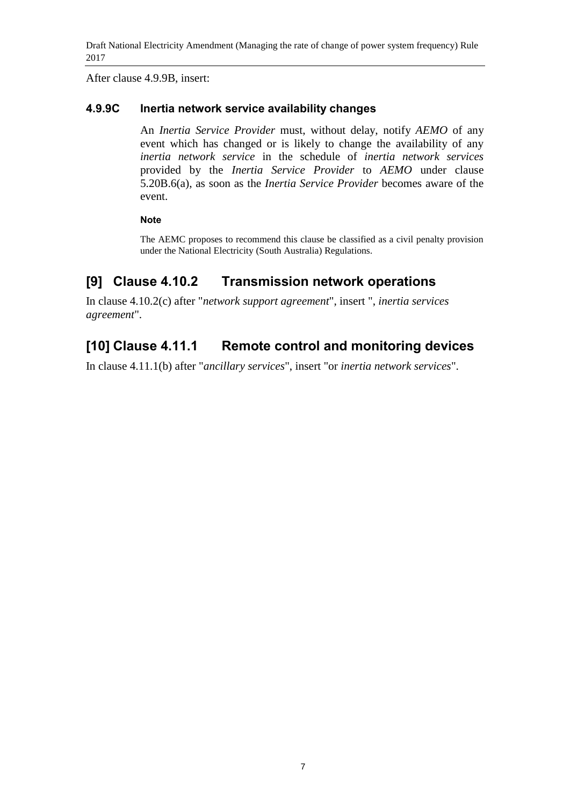After clause 4.9.9B, insert:

### **4.9.9C Inertia network service availability changes**

An *Inertia Service Provider* must, without delay, notify *AEMO* of any event which has changed or is likely to change the availability of any *inertia network service* in the schedule of *inertia network services* provided by the *Inertia Service Provider* to *AEMO* under clause 5.20B.6(a), as soon as the *Inertia Service Provider* becomes aware of the event.

### **Note**

The AEMC proposes to recommend this clause be classified as a civil penalty provision under the National Electricity (South Australia) Regulations.

## **[9] Clause 4.10.2 Transmission network operations**

In clause 4.10.2(c) after "*network support agreement*", insert ", *inertia services agreement*".

# **[10] Clause 4.11.1 Remote control and monitoring devices**

In clause 4.11.1(b) after "*ancillary services*", insert "or *inertia network services*".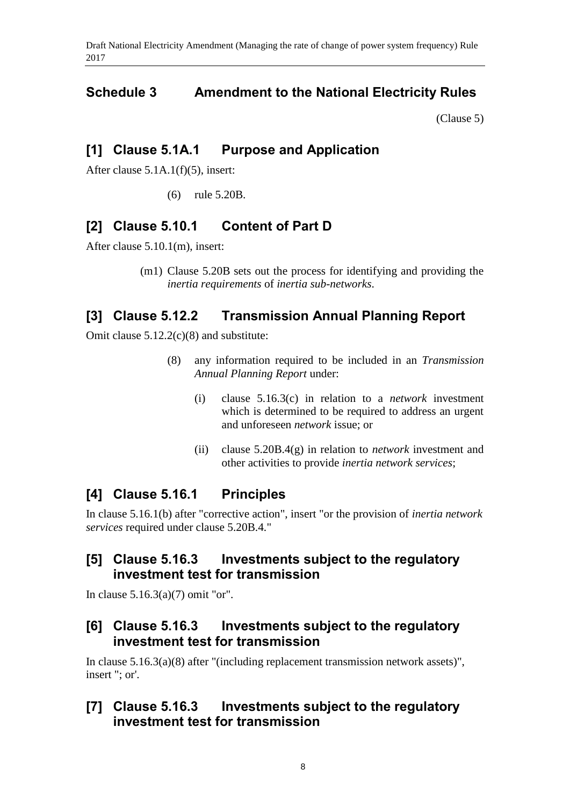## <span id="page-7-0"></span>**Schedule 3 Amendment to the National Electricity Rules**

[\(Clause 5\)](#page-1-2)

## **[1] Clause 5.1A.1 Purpose and Application**

After clause 5.1A.1(f)(5), insert:

(6) rule 5.20B.

## **[2] Clause 5.10.1 Content of Part D**

After clause 5.10.1(m), insert:

(m1) Clause 5.20B sets out the process for identifying and providing the *inertia requirements* of *inertia sub-networks*.

## **[3] Clause 5.12.2 Transmission Annual Planning Report**

Omit clause 5.12.2(c)(8) and substitute:

- (8) any information required to be included in an *Transmission Annual Planning Report* under:
	- (i) clause 5.16.3(c) in relation to a *network* investment which is determined to be required to address an urgent and unforeseen *network* issue; or
	- (ii) clause 5.20B.4(g) in relation to *network* investment and other activities to provide *inertia network services*;

## **[4] Clause 5.16.1 Principles**

In clause 5.16.1(b) after "corrective action", insert "or the provision of *inertia network services* required under clause 5.20B.4."

## **[5] Clause 5.16.3 Investments subject to the regulatory investment test for transmission**

In clause 5.16.3(a)(7) omit "or".

### **[6] Clause 5.16.3 Investments subject to the regulatory investment test for transmission**

In clause 5.16.3(a)(8) after "(including replacement transmission network assets)", insert "; or'.

## **[7] Clause 5.16.3 Investments subject to the regulatory investment test for transmission**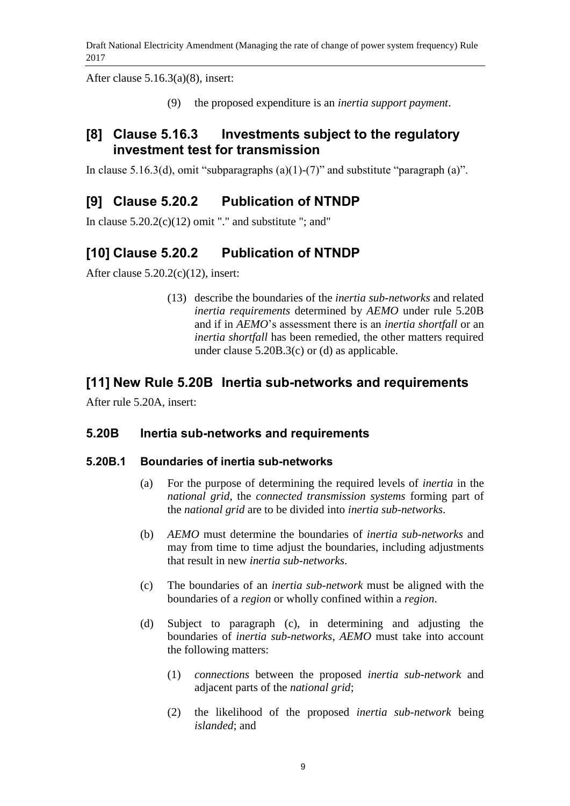After clause 5.16.3(a)(8), insert:

(9) the proposed expenditure is an *inertia support payment*.

## **[8] Clause 5.16.3 Investments subject to the regulatory investment test for transmission**

In clause 5.16.3(d), omit "subparagraphs  $(a)(1)-(7)$ " and substitute "paragraph  $(a)$ ".

# **[9] Clause 5.20.2 Publication of NTNDP**

In clause  $5.20.2(c)(12)$  omit "." and substitute "; and"

# **[10] Clause 5.20.2 Publication of NTNDP**

After clause  $5.20.2(c)(12)$ , insert:

(13) describe the boundaries of the *inertia sub-networks* and related *inertia requirements* determined by *AEMO* under rule 5.20B and if in *AEMO*'s assessment there is an *inertia shortfall* or an *inertia shortfall* has been remedied, the other matters required under clause 5.20B.3(c) or (d) as applicable.

## **[11] New Rule 5.20B Inertia sub-networks and requirements**

After rule 5.20A, insert:

### **5.20B Inertia sub-networks and requirements**

### **5.20B.1 Boundaries of inertia sub-networks**

- (a) For the purpose of determining the required levels of *inertia* in the *national grid*, the *connected transmission systems* forming part of the *national grid* are to be divided into *inertia sub-networks*.
- (b) *AEMO* must determine the boundaries of *inertia sub-networks* and may from time to time adjust the boundaries, including adjustments that result in new *inertia sub-networks*.
- (c) The boundaries of an *inertia sub-network* must be aligned with the boundaries of a *region* or wholly confined within a *region*.
- (d) Subject to paragraph (c), in determining and adjusting the boundaries of *inertia sub-networks*, *AEMO* must take into account the following matters:
	- (1) *connections* between the proposed *inertia sub-network* and adjacent parts of the *national grid*;
	- (2) the likelihood of the proposed *inertia sub-network* being *islanded*; and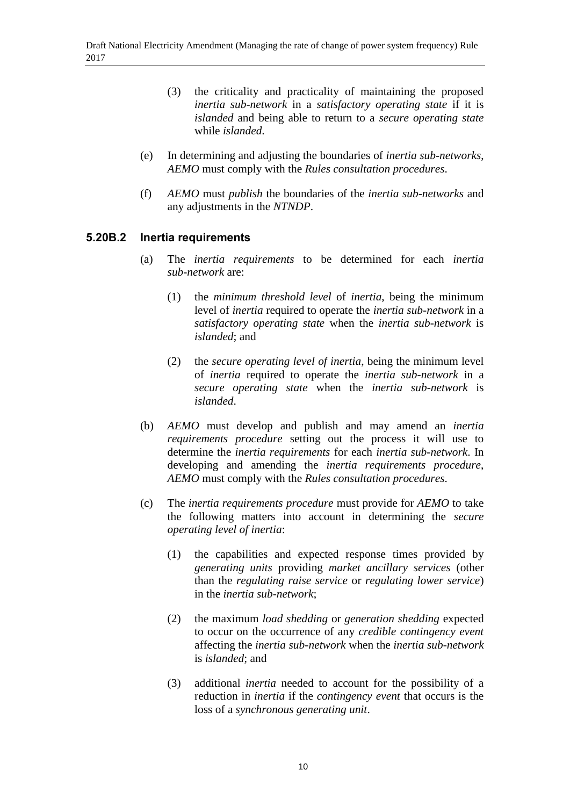- (3) the criticality and practicality of maintaining the proposed *inertia sub-network* in a *satisfactory operating state* if it is *islanded* and being able to return to a *secure operating state* while *islanded*.
- (e) In determining and adjusting the boundaries of *inertia sub-networks*, *AEMO* must comply with the *Rules consultation procedures*.
- (f) *AEMO* must *publish* the boundaries of the *inertia sub-networks* and any adjustments in the *NTNDP*.

### **5.20B.2 Inertia requirements**

- (a) The *inertia requirements* to be determined for each *inertia sub-network* are:
	- (1) the *minimum threshold level* of *inertia*, being the minimum level of *inertia* required to operate the *inertia sub-network* in a *satisfactory operating state* when the *inertia sub-network* is *islanded*; and
	- (2) the *secure operating level of inertia*, being the minimum level of *inertia* required to operate the *inertia sub-network* in a *secure operating state* when the *inertia sub-network* is *islanded*.
- (b) *AEMO* must develop and publish and may amend an *inertia requirements procedure* setting out the process it will use to determine the *inertia requirements* for each *inertia sub-network*. In developing and amending the *inertia requirements procedure*, *AEMO* must comply with the *Rules consultation procedures*.
- (c) The *inertia requirements procedure* must provide for *AEMO* to take the following matters into account in determining the *secure operating level of inertia*:
	- (1) the capabilities and expected response times provided by *generating units* providing *market ancillary services* (other than the *regulating raise service* or *regulating lower service*) in the *inertia sub-network*;
	- (2) the maximum *load shedding* or *generation shedding* expected to occur on the occurrence of any *credible contingency event* affecting the *inertia sub-network* when the *inertia sub-network* is *islanded*; and
	- (3) additional *inertia* needed to account for the possibility of a reduction in *inertia* if the *contingency event* that occurs is the loss of a *synchronous generating unit*.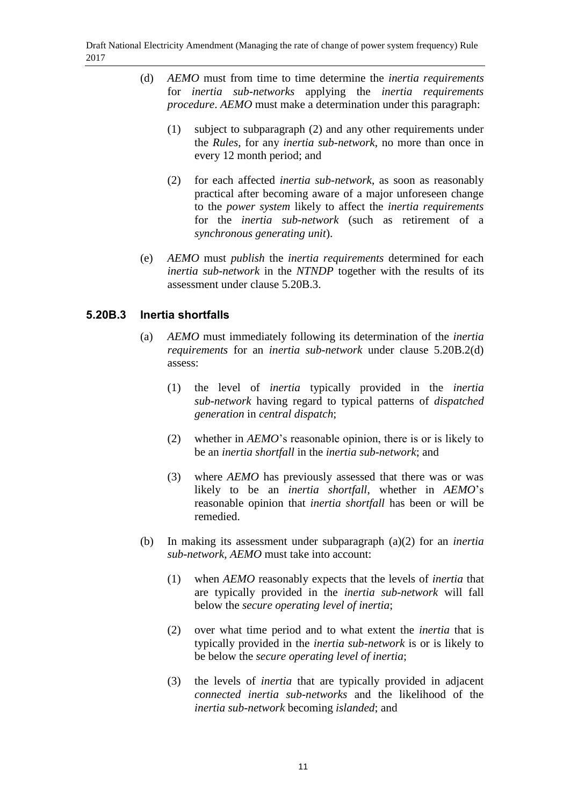- (d) *AEMO* must from time to time determine the *inertia requirements* for *inertia sub-networks* applying the *inertia requirements procedure*. *AEMO* must make a determination under this paragraph:
	- (1) subject to subparagraph (2) and any other requirements under the *Rules*, for any *inertia sub-network*, no more than once in every 12 month period; and
	- (2) for each affected *inertia sub-network*, as soon as reasonably practical after becoming aware of a major unforeseen change to the *power system* likely to affect the *inertia requirements* for the *inertia sub-network* (such as retirement of a *synchronous generating unit*).
- (e) *AEMO* must *publish* the *inertia requirements* determined for each *inertia sub-network* in the *NTNDP* together with the results of its assessment under clause 5.20B.3.

### **5.20B.3 Inertia shortfalls**

- (a) *AEMO* must immediately following its determination of the *inertia requirements* for an *inertia sub-network* under clause 5.20B.2(d) assess:
	- (1) the level of *inertia* typically provided in the *inertia sub-network* having regard to typical patterns of *dispatched generation* in *central dispatch*;
	- (2) whether in *AEMO*'s reasonable opinion, there is or is likely to be an *inertia shortfall* in the *inertia sub-network*; and
	- (3) where *AEMO* has previously assessed that there was or was likely to be an *inertia shortfall*, whether in *AEMO*'s reasonable opinion that *inertia shortfall* has been or will be remedied.
- (b) In making its assessment under subparagraph (a)(2) for an *inertia sub-network*, *AEMO* must take into account:
	- (1) when *AEMO* reasonably expects that the levels of *inertia* that are typically provided in the *inertia sub-network* will fall below the *secure operating level of inertia*;
	- (2) over what time period and to what extent the *inertia* that is typically provided in the *inertia sub-network* is or is likely to be below the *secure operating level of inertia*;
	- (3) the levels of *inertia* that are typically provided in adjacent *connected inertia sub-networks* and the likelihood of the *inertia sub-network* becoming *islanded*; and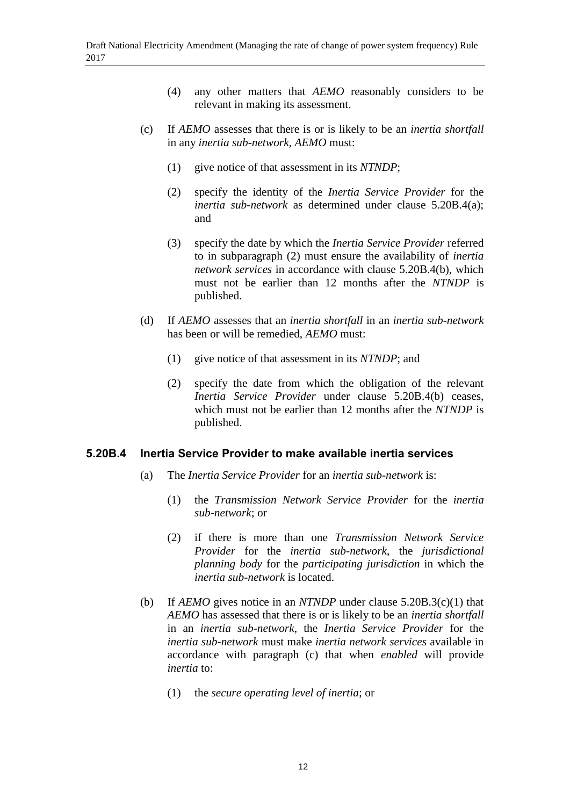- (4) any other matters that *AEMO* reasonably considers to be relevant in making its assessment.
- (c) If *AEMO* assesses that there is or is likely to be an *inertia shortfall* in any *inertia sub-network*, *AEMO* must:
	- (1) give notice of that assessment in its *NTNDP*;
	- (2) specify the identity of the *Inertia Service Provider* for the *inertia sub-network* as determined under clause 5.20B.4(a); and
	- (3) specify the date by which the *Inertia Service Provider* referred to in subparagraph (2) must ensure the availability of *inertia network services* in accordance with clause 5.20B.4(b), which must not be earlier than 12 months after the *NTNDP* is published.
- (d) If *AEMO* assesses that an *inertia shortfall* in an *inertia sub-network* has been or will be remedied, *AEMO* must:
	- (1) give notice of that assessment in its *NTNDP*; and
	- (2) specify the date from which the obligation of the relevant *Inertia Service Provider* under clause 5.20B.4(b) ceases, which must not be earlier than 12 months after the *NTNDP* is published.

### **5.20B.4 Inertia Service Provider to make available inertia services**

- (a) The *Inertia Service Provider* for an *inertia sub-network* is:
	- (1) the *Transmission Network Service Provider* for the *inertia sub-network*; or
	- (2) if there is more than one *Transmission Network Service Provider* for the *inertia sub-network*, the *jurisdictional planning body* for the *participating jurisdiction* in which the *inertia sub-network* is located.
- (b) If *AEMO* gives notice in an *NTNDP* under clause 5.20B.3(c)(1) that *AEMO* has assessed that there is or is likely to be an *inertia shortfall* in an *inertia sub-network*, the *Inertia Service Provider* for the *inertia sub-network* must make *inertia network services* available in accordance with paragraph (c) that when *enabled* will provide *inertia* to:
	- (1) the *secure operating level of inertia*; or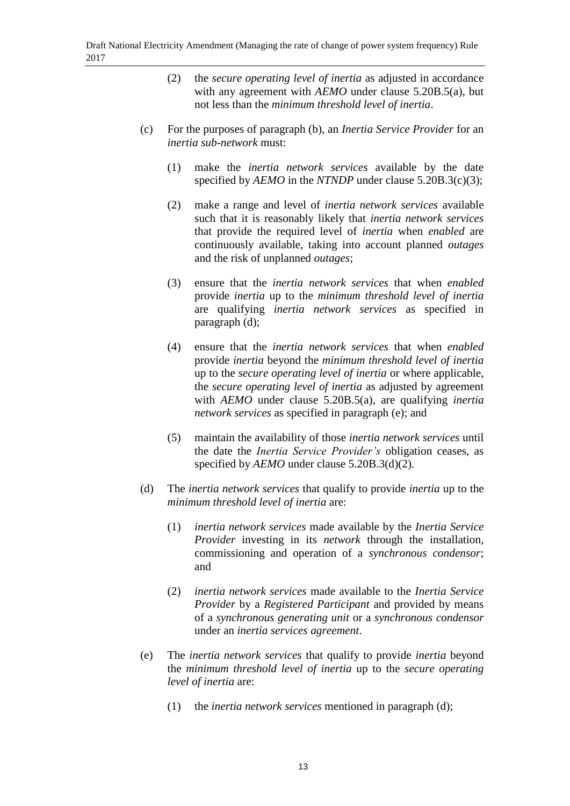- (2) the *secure operating level of inertia* as adjusted in accordance with any agreement with *AEMO* under clause 5.20B.5(a), but not less than the *minimum threshold level of inertia*.
- (c) For the purposes of paragraph (b), an *Inertia Service Provider* for an *inertia sub-network* must:
	- (1) make the *inertia network services* available by the date specified by *AEMO* in the *NTNDP* under clause 5.20B.3(c)(3);
	- (2) make a range and level of *inertia network services* available such that it is reasonably likely that *inertia network services* that provide the required level of *inertia* when *enabled* are continuously available, taking into account planned *outages* and the risk of unplanned *outages*;
	- (3) ensure that the *inertia network services* that when *enabled* provide *inertia* up to the *minimum threshold level of inertia* are qualifying *inertia network services* as specified in paragraph (d);
	- (4) ensure that the *inertia network services* that when *enabled* provide *inertia* beyond the *minimum threshold level of inertia* up to the *secure operating level of inertia* or where applicable, the *secure operating level of inertia* as adjusted by agreement with *AEMO* under clause 5.20B.5(a), are qualifying *inertia network services* as specified in paragraph (e); and
	- (5) maintain the availability of those *inertia network services* until the date the *Inertia Service Provider's* obligation ceases, as specified by *AEMO* under clause 5.20B.3(d)(2).
- (d) The *inertia network services* that qualify to provide *inertia* up to the *minimum threshold level of inertia* are:
	- (1) *inertia network services* made available by the *Inertia Service Provider* investing in its *network* through the installation, commissioning and operation of a *synchronous condensor*; and
	- (2) *inertia network services* made available to the *Inertia Service Provider* by a *Registered Participant* and provided by means of a *synchronous generating unit* or a *synchronous condensor* under an *inertia services agreement*.
- (e) The *inertia network services* that qualify to provide *inertia* beyond the *minimum threshold level of inertia* up to the *secure operating level of inertia* are:
	- (1) the *inertia network services* mentioned in paragraph (d);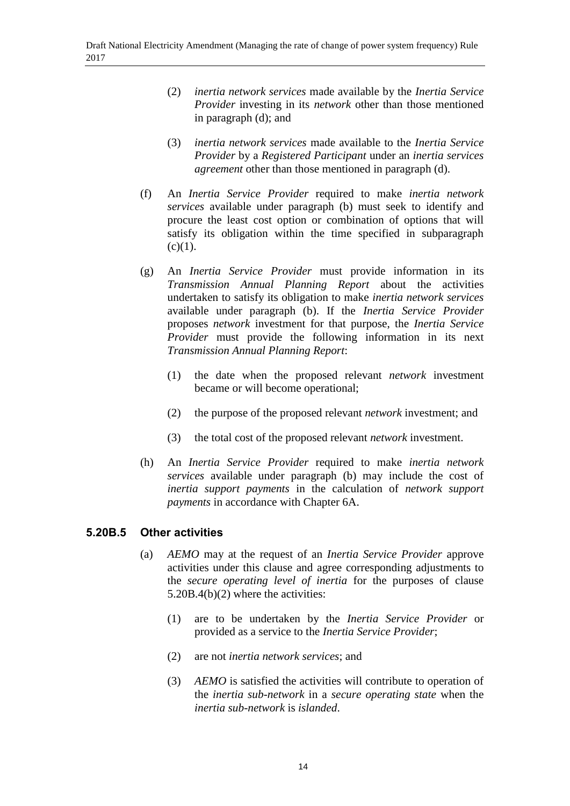- (2) *inertia network services* made available by the *Inertia Service Provider* investing in its *network* other than those mentioned in paragraph (d); and
- (3) *inertia network services* made available to the *Inertia Service Provider* by a *Registered Participant* under an *inertia services agreement* other than those mentioned in paragraph (d).
- (f) An *Inertia Service Provider* required to make *inertia network services* available under paragraph (b) must seek to identify and procure the least cost option or combination of options that will satisfy its obligation within the time specified in subparagraph  $(c)(1)$ .
- (g) An *Inertia Service Provider* must provide information in its *Transmission Annual Planning Report* about the activities undertaken to satisfy its obligation to make *inertia network services* available under paragraph (b). If the *Inertia Service Provider* proposes *network* investment for that purpose, the *Inertia Service Provider* must provide the following information in its next *Transmission Annual Planning Report*:
	- (1) the date when the proposed relevant *network* investment became or will become operational;
	- (2) the purpose of the proposed relevant *network* investment; and
	- (3) the total cost of the proposed relevant *network* investment.
- (h) An *Inertia Service Provider* required to make *inertia network services* available under paragraph (b) may include the cost of *inertia support payments* in the calculation of *network support payments* in accordance with Chapter 6A.

### **5.20B.5 Other activities**

- (a) *AEMO* may at the request of an *Inertia Service Provider* approve activities under this clause and agree corresponding adjustments to the *secure operating level of inertia* for the purposes of clause 5.20B.4(b)(2) where the activities:
	- (1) are to be undertaken by the *Inertia Service Provider* or provided as a service to the *Inertia Service Provider*;
	- (2) are not *inertia network services*; and
	- (3) *AEMO* is satisfied the activities will contribute to operation of the *inertia sub-network* in a *secure operating state* when the *inertia sub-network* is *islanded*.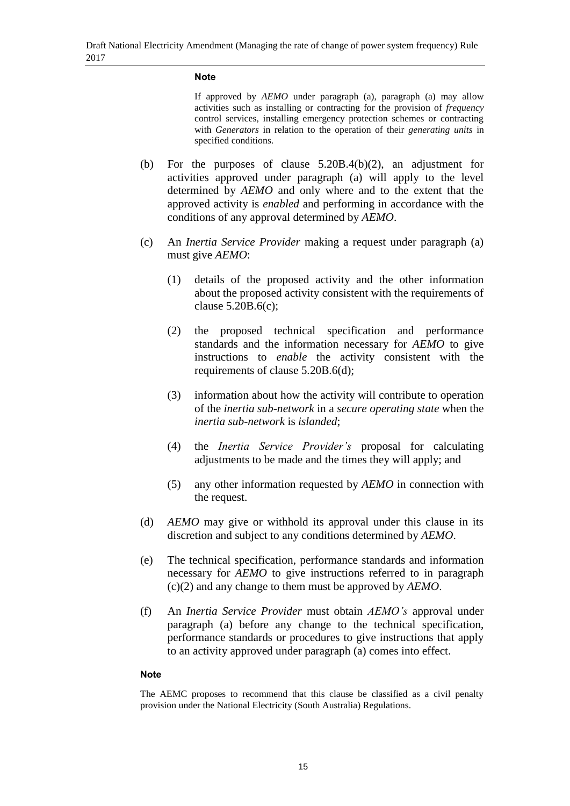#### **Note**

If approved by *AEMO* under paragraph (a), paragraph (a) may allow activities such as installing or contracting for the provision of *frequency* control services, installing emergency protection schemes or contracting with *Generators* in relation to the operation of their *generating units* in specified conditions.

- (b) For the purposes of clause 5.20B.4(b)(2), an adjustment for activities approved under paragraph (a) will apply to the level determined by *AEMO* and only where and to the extent that the approved activity is *enabled* and performing in accordance with the conditions of any approval determined by *AEMO*.
- (c) An *Inertia Service Provider* making a request under paragraph (a) must give *AEMO*:
	- (1) details of the proposed activity and the other information about the proposed activity consistent with the requirements of clause 5.20B.6(c);
	- (2) the proposed technical specification and performance standards and the information necessary for *AEMO* to give instructions to *enable* the activity consistent with the requirements of clause 5.20B.6(d);
	- (3) information about how the activity will contribute to operation of the *inertia sub-network* in a *secure operating state* when the *inertia sub-network* is *islanded*;
	- (4) the *Inertia Service Provider's* proposal for calculating adjustments to be made and the times they will apply; and
	- (5) any other information requested by *AEMO* in connection with the request.
- (d) *AEMO* may give or withhold its approval under this clause in its discretion and subject to any conditions determined by *AEMO*.
- (e) The technical specification, performance standards and information necessary for *AEMO* to give instructions referred to in paragraph (c)(2) and any change to them must be approved by *AEMO*.
- (f) An *Inertia Service Provider* must obtain *AEMO's* approval under paragraph (a) before any change to the technical specification, performance standards or procedures to give instructions that apply to an activity approved under paragraph (a) comes into effect.

#### **Note**

The AEMC proposes to recommend that this clause be classified as a civil penalty provision under the National Electricity (South Australia) Regulations.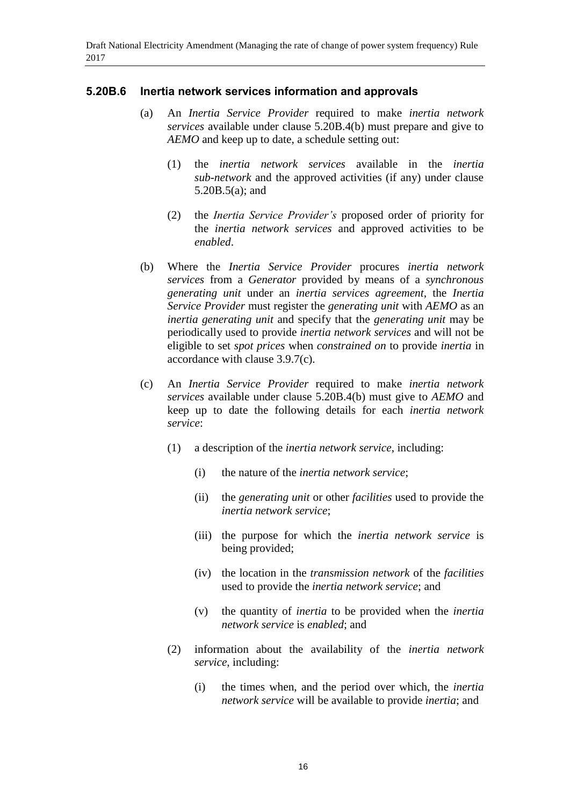### **5.20B.6 Inertia network services information and approvals**

- (a) An *Inertia Service Provider* required to make *inertia network services* available under clause 5.20B.4(b) must prepare and give to *AEMO* and keep up to date, a schedule setting out:
	- (1) the *inertia network services* available in the *inertia sub-network* and the approved activities (if any) under clause 5.20B.5(a); and
	- (2) the *Inertia Service Provider's* proposed order of priority for the *inertia network services* and approved activities to be *enabled*.
- (b) Where the *Inertia Service Provider* procures *inertia network services* from a *Generator* provided by means of a *synchronous generating unit* under an *inertia services agreement*, the *Inertia Service Provider* must register the *generating unit* with *AEMO* as an *inertia generating unit* and specify that the *generating unit* may be periodically used to provide *inertia network services* and will not be eligible to set *spot prices* when *constrained on* to provide *inertia* in accordance with clause 3.9.7(c).
- (c) An *Inertia Service Provider* required to make *inertia network services* available under clause 5.20B.4(b) must give to *AEMO* and keep up to date the following details for each *inertia network service*:
	- (1) a description of the *inertia network service*, including:
		- (i) the nature of the *inertia network service*;
		- (ii) the *generating unit* or other *facilities* used to provide the *inertia network service*;
		- (iii) the purpose for which the *inertia network service* is being provided;
		- (iv) the location in the *transmission network* of the *facilities* used to provide the *inertia network service*; and
		- (v) the quantity of *inertia* to be provided when the *inertia network service* is *enabled*; and
	- (2) information about the availability of the *inertia network service*, including:
		- (i) the times when, and the period over which, the *inertia network service* will be available to provide *inertia*; and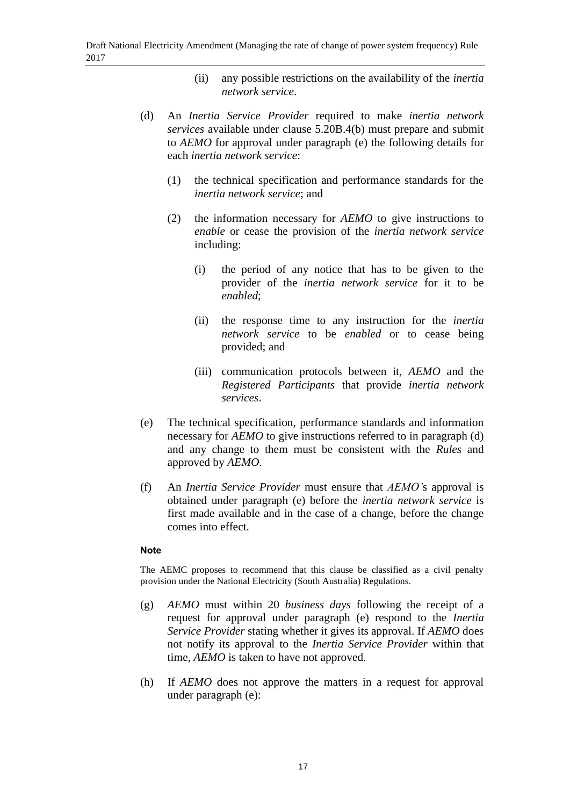- (ii) any possible restrictions on the availability of the *inertia network service*.
- (d) An *Inertia Service Provider* required to make *inertia network services* available under clause 5.20B.4(b) must prepare and submit to *AEMO* for approval under paragraph (e) the following details for each *inertia network service*:
	- (1) the technical specification and performance standards for the *inertia network service*; and
	- (2) the information necessary for *AEMO* to give instructions to *enable* or cease the provision of the *inertia network service* including:
		- (i) the period of any notice that has to be given to the provider of the *inertia network service* for it to be *enabled*;
		- (ii) the response time to any instruction for the *inertia network service* to be *enabled* or to cease being provided; and
		- (iii) communication protocols between it, *AEMO* and the *Registered Participants* that provide *inertia network services*.
- (e) The technical specification, performance standards and information necessary for *AEMO* to give instructions referred to in paragraph (d) and any change to them must be consistent with the *Rules* and approved by *AEMO*.
- (f) An *Inertia Service Provider* must ensure that *AEMO'*s approval is obtained under paragraph (e) before the *inertia network service* is first made available and in the case of a change, before the change comes into effect.

#### **Note**

The AEMC proposes to recommend that this clause be classified as a civil penalty provision under the National Electricity (South Australia) Regulations.

- (g) *AEMO* must within 20 *business days* following the receipt of a request for approval under paragraph (e) respond to the *Inertia Service Provider* stating whether it gives its approval. If *AEMO* does not notify its approval to the *Inertia Service Provider* within that time, *AEMO* is taken to have not approved.
- (h) If *AEMO* does not approve the matters in a request for approval under paragraph (e):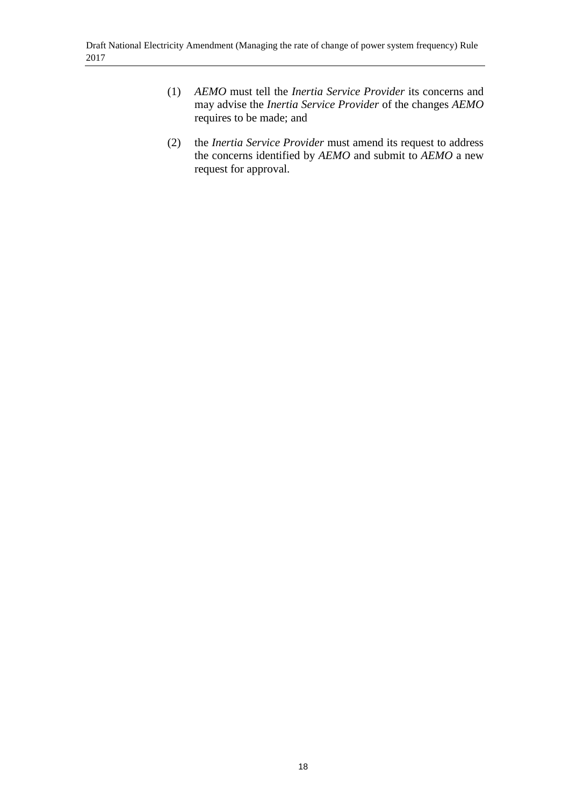- (1) *AEMO* must tell the *Inertia Service Provider* its concerns and may advise the *Inertia Service Provider* of the changes *AEMO* requires to be made; and
- (2) the *Inertia Service Provider* must amend its request to address the concerns identified by *AEMO* and submit to *AEMO* a new request for approval.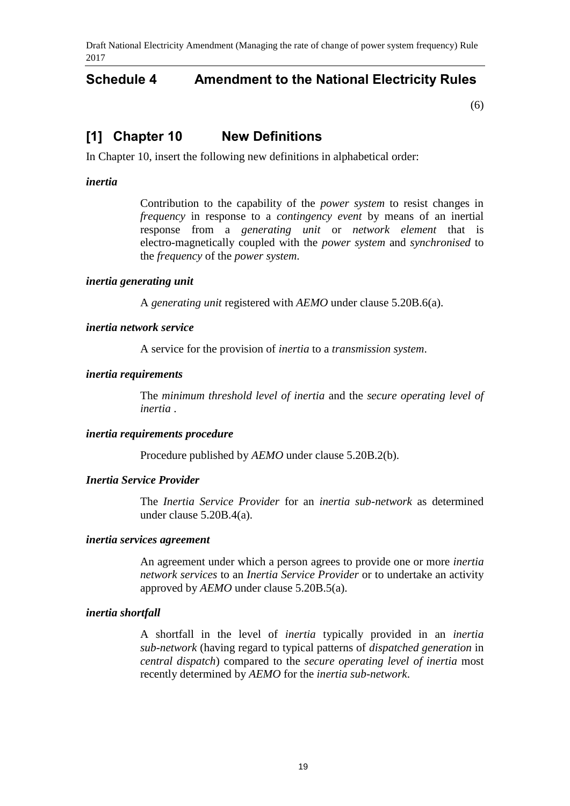### **Schedule 4 Amendment to the National Electricity Rules**

[\(6\)](#page-1-3)

### **[1] Chapter 10 New Definitions**

In Chapter 10, insert the following new definitions in alphabetical order:

### *inertia*

Contribution to the capability of the *power system* to resist changes in *frequency* in response to a *contingency event* by means of an inertial response from a *generating unit* or *network element* that is electro-magnetically coupled with the *power system* and *synchronised* to the *frequency* of the *power system*.

### *inertia generating unit*

A *generating unit* registered with *AEMO* under clause 5.20B.6(a).

#### *inertia network service*

A service for the provision of *inertia* to a *transmission system*.

### *inertia requirements*

The *minimum threshold level of inertia* and the *secure operating level of inertia* .

### *inertia requirements procedure*

Procedure published by *AEMO* under clause 5.20B.2(b).

### *Inertia Service Provider*

The *Inertia Service Provider* for an *inertia sub-network* as determined under clause 5.20B.4(a).

#### *inertia services agreement*

An agreement under which a person agrees to provide one or more *inertia network services* to an *Inertia Service Provider* or to undertake an activity approved by *AEMO* under clause 5.20B.5(a).

#### *inertia shortfall*

A shortfall in the level of *inertia* typically provided in an *inertia sub-network* (having regard to typical patterns of *dispatched generation* in *central dispatch*) compared to the *secure operating level of inertia* most recently determined by *AEMO* for the *inertia sub-network*.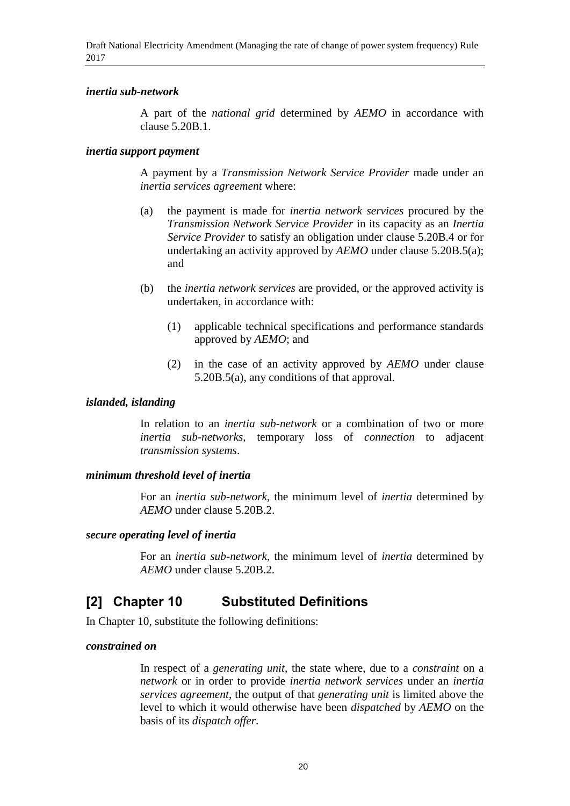### *inertia sub-network*

A part of the *national grid* determined by *AEMO* in accordance with clause 5.20B.1.

### *inertia support payment*

A payment by a *Transmission Network Service Provider* made under an *inertia services agreement* where:

- (a) the payment is made for *inertia network services* procured by the *Transmission Network Service Provider* in its capacity as an *Inertia Service Provider* to satisfy an obligation under clause 5.20B.4 or for undertaking an activity approved by *AEMO* under clause 5.20B.5(a); and
- (b) the *inertia network services* are provided, or the approved activity is undertaken, in accordance with:
	- (1) applicable technical specifications and performance standards approved by *AEMO*; and
	- (2) in the case of an activity approved by *AEMO* under clause 5.20B.5(a), any conditions of that approval.

### *islanded, islanding*

In relation to an *inertia sub-network* or a combination of two or more *inertia sub-networks*, temporary loss of *connection* to adjacent *transmission systems*.

### *minimum threshold level of inertia*

For an *inertia sub-network*, the minimum level of *inertia* determined by *AEMO* under clause 5.20B.2.

#### *secure operating level of inertia*

For an *inertia sub-network*, the minimum level of *inertia* determined by *AEMO* under clause 5.20B.2.

### **[2] Chapter 10 Substituted Definitions**

In Chapter 10, substitute the following definitions:

#### *constrained on*

In respect of a *generating unit*, the state where, due to a *constraint* on a *network* or in order to provide *inertia network services* under an *inertia services agreement*, the output of that *generating unit* is limited above the level to which it would otherwise have been *dispatched* by *AEMO* on the basis of its *dispatch offer*.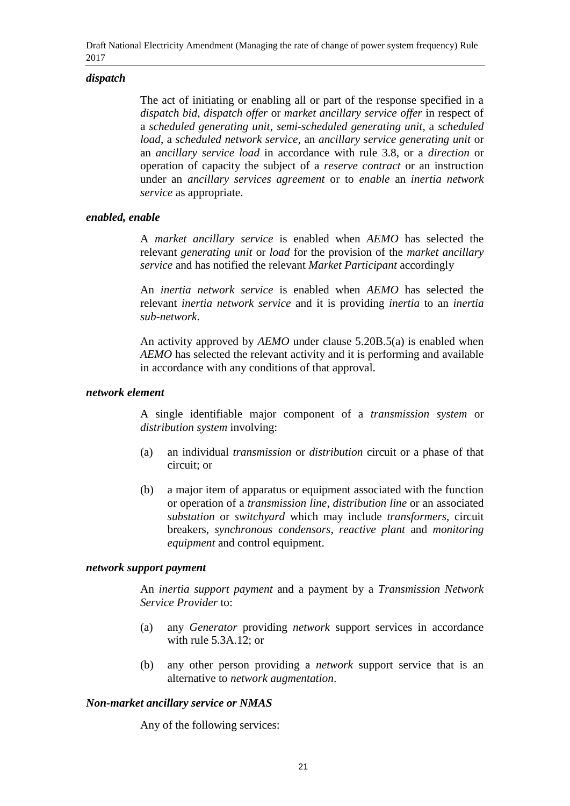### *dispatch*

The act of initiating or enabling all or part of the response specified in a *dispatch bid*, *dispatch offer* or *market ancillary service offer* in respect of a *scheduled generating unit*, *semi-scheduled generating unit*, a *scheduled load*, a *scheduled network service*, an *ancillary service generating unit* or an *ancillary service load* in accordance with rule 3.8, or a *direction* or operation of capacity the subject of a *reserve contract* or an instruction under an *ancillary services agreement* or to *enable* an *inertia network service* as appropriate.

### *enabled, enable*

A *market ancillary service* is enabled when *AEMO* has selected the relevant *generating unit* or *load* for the provision of the *market ancillary service* and has notified the relevant *Market Participant* accordingly

An *inertia network service* is enabled when *AEMO* has selected the relevant *inertia network service* and it is providing *inertia* to an *inertia sub-network*.

An activity approved by *AEMO* under clause 5.20B.5(a) is enabled when *AEMO* has selected the relevant activity and it is performing and available in accordance with any conditions of that approval.

#### *network element*

A single identifiable major component of a *transmission system* or *distribution system* involving:

- (a) an individual *transmission* or *distribution* circuit or a phase of that circuit; or
- (b) a major item of apparatus or equipment associated with the function or operation of a *transmission line*, *distribution line* or an associated *substation* or *switchyard* which may include *transformers*, circuit breakers, *synchronous condensors*, *reactive plant* and *monitoring equipment* and control equipment.

#### *network support payment*

An *inertia support payment* and a payment by a *Transmission Network Service Provider* to:

- (a) any *Generator* providing *network* support services in accordance with rule 5.3A.12; or
- (b) any other person providing a *network* support service that is an alternative to *network augmentation*.

#### *Non-market ancillary service or NMAS*

Any of the following services: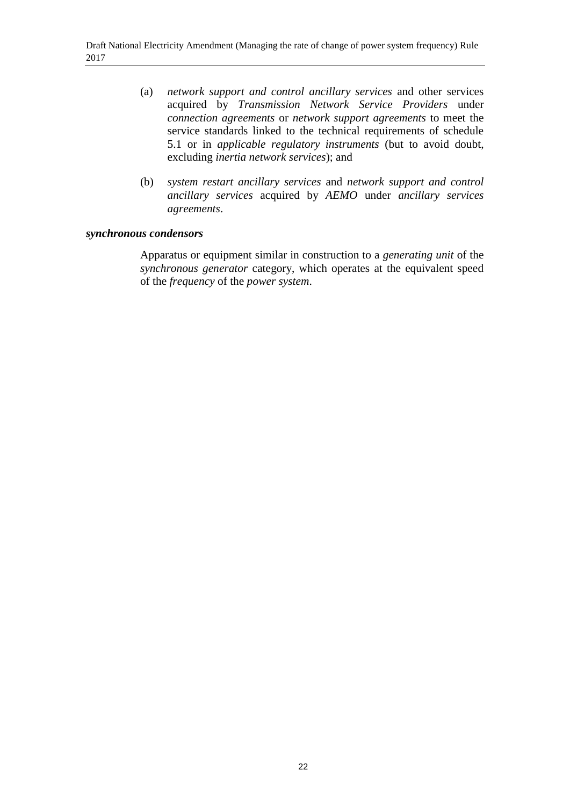- (a) *network support and control ancillary services* and other services acquired by *Transmission Network Service Providers* under *connection agreements* or *network support agreements* to meet the service standards linked to the technical requirements of schedule 5.1 or in *applicable regulatory instruments* (but to avoid doubt, excluding *inertia network services*); and
- (b) *system restart ancillary services* and *network support and control ancillary services* acquired by *AEMO* under *ancillary services agreements*.

### *synchronous condensors*

Apparatus or equipment similar in construction to a *generating unit* of the *synchronous generator* category, which operates at the equivalent speed of the *frequency* of the *power system*.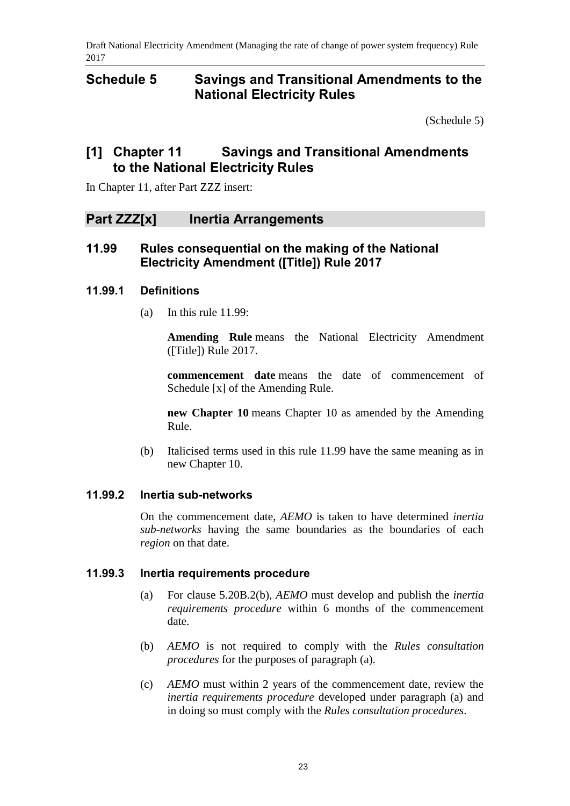### <span id="page-22-0"></span>**Schedule 5 Savings and Transitional Amendments to the National Electricity Rules**

[\(Schedule 5\)](#page-22-0)

## **[1] Chapter 11 Savings and Transitional Amendments to the National Electricity Rules**

In Chapter 11, after Part ZZZ insert:

### **Part ZZZ[x] Inertia Arrangements**

### **11.99 Rules consequential on the making of the National Electricity Amendment ([Title]) Rule 2017**

### **11.99.1 Definitions**

(a) In this rule 11.99:

**Amending Rule** means the National Electricity Amendment ([Title]) Rule 2017.

**commencement date** means the date of commencement of Schedule [x] of the Amending Rule.

**new Chapter 10** means Chapter 10 as amended by the Amending Rule.

(b) Italicised terms used in this rule 11.99 have the same meaning as in new Chapter 10.

### **11.99.2 Inertia sub-networks**

On the commencement date, *AEMO* is taken to have determined *inertia sub-networks* having the same boundaries as the boundaries of each *region* on that date.

### **11.99.3 Inertia requirements procedure**

- (a) For clause 5.20B.2(b), *AEMO* must develop and publish the *inertia requirements procedure* within 6 months of the commencement date.
- (b) *AEMO* is not required to comply with the *Rules consultation procedures* for the purposes of paragraph (a).
- (c) *AEMO* must within 2 years of the commencement date, review the *inertia requirements procedure* developed under paragraph (a) and in doing so must comply with the *Rules consultation procedures*.